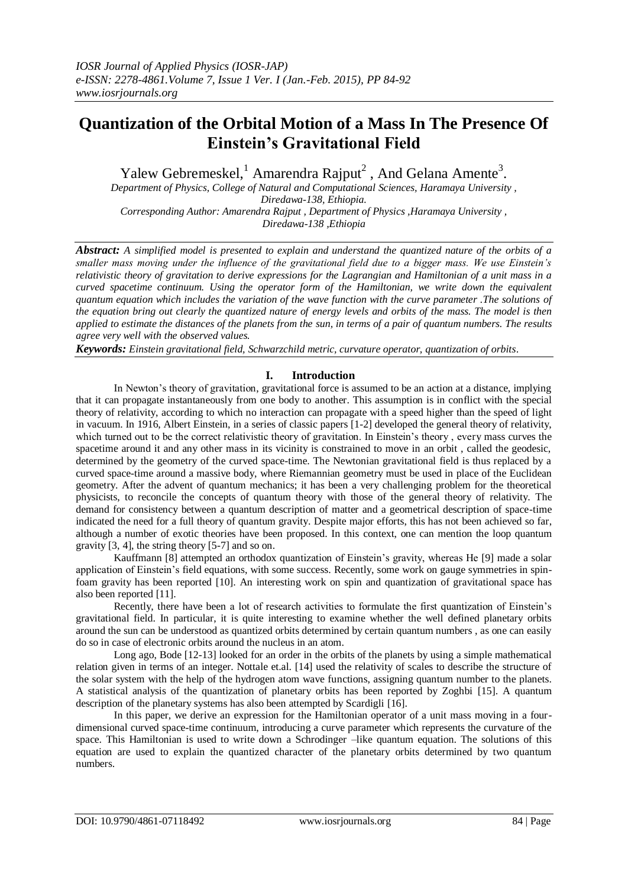# **Quantization of the Orbital Motion of a Mass In The Presence Of Einstein's Gravitational Field**

Yalew Gebremeskel,<sup>1</sup> Amarendra Rajput<sup>2</sup>, And Gelana Amente<sup>3</sup>.

*Department of Physics, College of Natural and Computational Sciences, Haramaya University , Diredawa-138, Ethiopia. Corresponding Author: Amarendra Rajput , Department of Physics ,Haramaya University ,*

*Diredawa-138 ,Ethiopia*

*Abstract: A simplified model is presented to explain and understand the quantized nature of the orbits of a smaller mass moving under the influence of the gravitational field due to a bigger mass. We use Einstein's relativistic theory of gravitation to derive expressions for the Lagrangian and Hamiltonian of a unit mass in a curved spacetime continuum. Using the operator form of the Hamiltonian, we write down the equivalent quantum equation which includes the variation of the wave function with the curve parameter .The solutions of the equation bring out clearly the quantized nature of energy levels and orbits of the mass. The model is then applied to estimate the distances of the planets from the sun, in terms of a pair of quantum numbers. The results agree very well with the observed values.* 

*Keywords: Einstein gravitational field, Schwarzchild metric, curvature operator, quantization of orbits*.

# **I. Introduction**

In Newton's theory of gravitation, gravitational force is assumed to be an action at a distance, implying that it can propagate instantaneously from one body to another. This assumption is in conflict with the special theory of relativity, according to which no interaction can propagate with a speed higher than the speed of light in vacuum. In 1916, Albert Einstein, in a series of classic papers [1-2] developed the general theory of relativity, which turned out to be the correct relativistic theory of gravitation. In Einstein's theory, every mass curves the spacetime around it and any other mass in its vicinity is constrained to move in an orbit , called the geodesic, determined by the geometry of the curved space-time. The Newtonian gravitational field is thus replaced by a curved space-time around a massive body, where Riemannian geometry must be used in place of the Euclidean geometry. After the advent of quantum mechanics; it has been a very challenging problem for the theoretical physicists, to reconcile the concepts of quantum theory with those of the general theory of relativity. The demand for consistency between a quantum description of matter and a geometrical description of space-time indicated the need for a full theory of quantum gravity. Despite major efforts, this has not been achieved so far, although a number of exotic theories have been proposed. In this context, one can mention the loop quantum gravity [3, 4], the string theory [5-7] and so on.

Kauffmann [8] attempted an orthodox quantization of Einstein's gravity, whereas He [9] made a solar application of Einstein's field equations, with some success. Recently, some work on gauge symmetries in spinfoam gravity has been reported [10]. An interesting work on spin and quantization of gravitational space has also been reported [11].

Recently, there have been a lot of research activities to formulate the first quantization of Einstein's gravitational field. In particular, it is quite interesting to examine whether the well defined planetary orbits around the sun can be understood as quantized orbits determined by certain quantum numbers , as one can easily do so in case of electronic orbits around the nucleus in an atom.

Long ago, Bode [12-13] looked for an order in the orbits of the planets by using a simple mathematical relation given in terms of an integer. Nottale et.al. [14] used the relativity of scales to describe the structure of the solar system with the help of the hydrogen atom wave functions, assigning quantum number to the planets. A statistical analysis of the quantization of planetary orbits has been reported by Zoghbi [15]. A quantum description of the planetary systems has also been attempted by Scardigli [16].

In this paper, we derive an expression for the Hamiltonian operator of a unit mass moving in a fourdimensional curved space-time continuum, introducing a curve parameter which represents the curvature of the space. This Hamiltonian is used to write down a Schrodinger -like quantum equation. The solutions of this equation are used to explain the quantized character of the planetary orbits determined by two quantum numbers.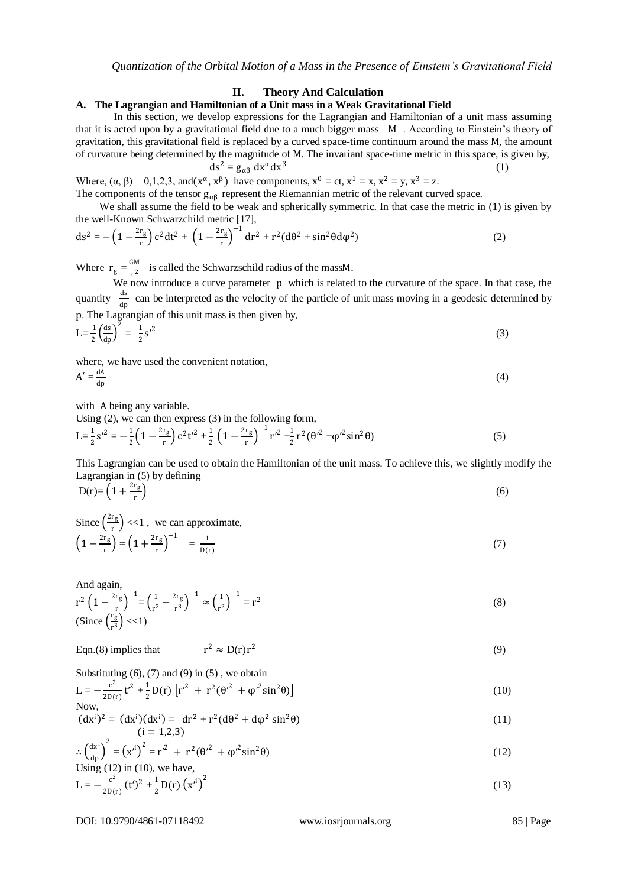## **II. Theory And Calculation**

## **A. The Lagrangian and Hamiltonian of a Unit mass in a Weak Gravitational Field**

In this section, we develop expressions for the Lagrangian and Hamiltonian of a unit mass assuming that it is acted upon by a gravitational field due to a much bigger mass M . According to Einstein's theory of gravitation, this gravitational field is replaced by a curved space-time continuum around the mass M, the amount of curvature being determined by the magnitude of M. The invariant space-time metric in this space, is given by,  $ds^2 = g_{\alpha\beta} dx^{\alpha} dx^{\beta}$ (1)

Where,  $(\alpha, \beta) = 0, 1, 2, 3$ , and $(x^{\alpha}, x^{\beta})$  have components,  $x^0 = ct$ ,  $x^1 = x$ ,  $x^2 = y$ ,  $x^3 = z$ . The components of the tensor  $g_{\alpha\beta}$  represent the Riemannian metric of the relevant curved space.

We shall assume the field to be weak and spherically symmetric. In that case the metric in (1) is given by the well-Known Schwarzchild metric [17],

$$
ds^{2} = -\left(1 - \frac{2r_{g}}{r}\right)c^{2}dt^{2} + \left(1 - \frac{2r_{g}}{r}\right)^{-1}dr^{2} + r^{2}(d\theta^{2} + \sin^{2}\theta d\varphi^{2})
$$
\n(2)

Where  $r_g = \frac{GM}{c^2}$  $\frac{1}{c^2}$  is called the Schwarzschild radius of the massM.

 We now introduce a curve parameter p which is related to the curvature of the space. In that case, the quantity  $\frac{ds}{dp}$  can be interpreted as the velocity of the particle of unit mass moving in a geodesic determined by p. The Lagrangian of this unit mass is then given by,  $\frac{1}{5}$  (ds)<sup>2</sup>  $\frac{1}{2}$  -1.2

$$
L = \frac{1}{2} \left( \frac{ds}{dp} \right)^2 = \frac{1}{2} s'^2
$$
 (3)

where, we have used the convenient notation,

$$
A' = \frac{dA}{dp} \tag{4}
$$

with A being any variable.

Using (2), we can then express (3) in the following form,

$$
L = \frac{1}{2} s'^2 = -\frac{1}{2} \left( 1 - \frac{2r_g}{r} \right) c^2 t'^2 + \frac{1}{2} \left( 1 - \frac{2r_g}{r} \right)^{-1} r'^2 + \frac{1}{2} r^2 (\theta'^2 + \phi'^2 \sin^2 \theta)
$$
(5)

This Lagrangian can be used to obtain the Hamiltonian of the unit mass. To achieve this, we slightly modify the Lagrangian in (5) by defining

$$
D(r) = \left(1 + \frac{2r_g}{r}\right) \tag{6}
$$

Since 
$$
\left(\frac{2r_g}{r}\right) \ll 1
$$
, we can approximate,  
\n
$$
\left(1 - \frac{2r_g}{r}\right) = \left(1 + \frac{2r_g}{r}\right)^{-1} = \frac{1}{D(r)}
$$
\n(7)

And again,

$$
r^{2} \left(1 - \frac{2r_{g}}{r}\right)^{-1} = \left(\frac{1}{r^{2}} - \frac{2r_{g}}{r^{3}}\right)^{-1} \approx \left(\frac{1}{r^{2}}\right)^{-1} = r^{2}
$$
\n
$$
\text{(Since } \left(\frac{r_{g}}{r^{3}}\right) < < 1\text{)}\tag{8}
$$

Eqn.(8) implies that 
$$
r^2 \approx D(r)r^2
$$
 (9)

Substituting  $(6)$ ,  $(7)$  and  $(9)$  in  $(5)$ , we obtain

$$
L = -\frac{c^2}{2D(r)} t'^2 + \frac{1}{2} D(r) \left[ r'^2 + r^2 (\theta'^2 + \phi'^2 \sin^2 \theta) \right]
$$
(10)  
Now,

$$
(\text{d}x^i)^2 = (\text{d}x^i)(\text{d}x^i) = \text{d}r^2 + r^2(\text{d}\theta^2 + \text{d}\phi^2\sin^2\theta)
$$
\n(11)

$$
\therefore \left(\frac{\mathrm{dx}^i}{\mathrm{dp}}\right)^2 = \left(x'^i\right)^2 = r'^2 + r^2(\theta'^2 + \varphi'^2 \sin^2 \theta)
$$
\n
$$
\text{Using (12) in (10), we have,}
$$
\n
$$
\tag{12}
$$

Using (12) in (10), we have,  

$$
L = -\frac{c^2}{2D(r)} (t')^2 + \frac{1}{2} D(r) (x'^i)^2
$$
(13)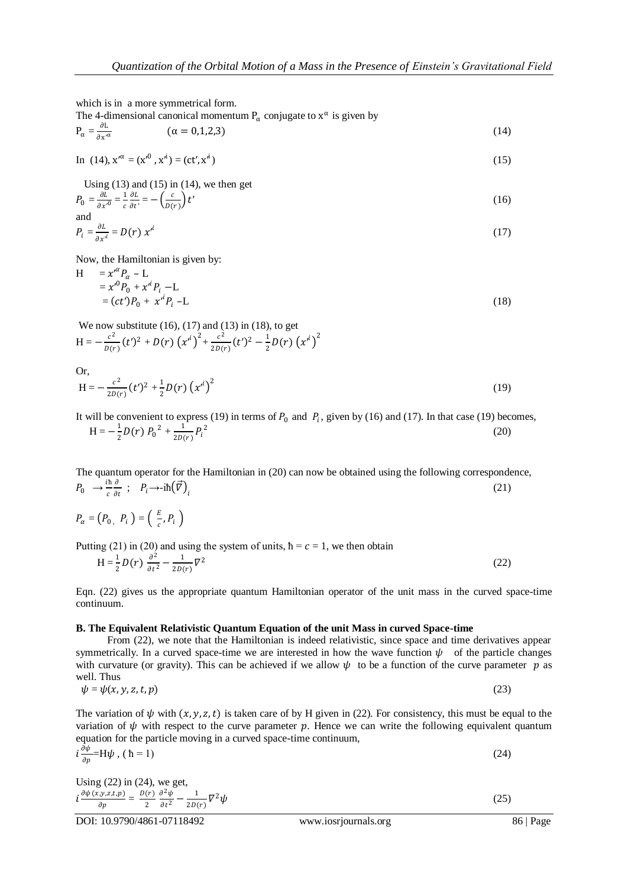which is in a more symmetrical form.

The 4-dimensional canonical momentum  $P_{\alpha}$  conjugate to  $x^{\alpha}$  is given by

$$
P_{\alpha} = \frac{\partial L}{\partial x^{\alpha}} \qquad (\alpha = 0, 1, 2, 3) \tag{14}
$$

In (14), 
$$
x'^{\alpha} = (x'^0, x'^i) = (ct', x'^i)
$$
 (15)

Using  $(13)$  and  $(15)$  in  $(14)$ , we then get

$$
P_0 = \frac{\partial L}{\partial x'^0} = \frac{1}{c} \frac{\partial L}{\partial t'} = -\left(\frac{c}{D(r)}\right) t'
$$
\nand

$$
P_i = \frac{\partial L}{\partial x^i} = D(r) x^{i}
$$
 (17)

Now, the Hamiltonian is given by:

$$
H = x'^{\alpha} P_{\alpha} - L
$$
  
=  $x'^0 P_0 + x'^i P_i - L$   
=  $(ct')P_0 + x'^i P_i - L$  (18)

We now substitute  $(16)$ ,  $(17)$  and  $(13)$  in  $(18)$ , to get  $H = -\frac{c^2}{R}$  $\frac{c^2}{D(r)}(t')^2 + D(r)\left(x'^i\right)^2 + \frac{c^2}{2D(r)}$  $\frac{c^2}{2D(r)}(t')^2 - \frac{1}{2}$  $\frac{1}{2}D(r)(x^{i})^{2}$ 

Or,  
\n
$$
H = -\frac{c^2}{2D(r)}(t^2) + \frac{1}{2}D(r)(x^{i})^2
$$
\n(19)

It will be convenient to express (19) in terms of  $P_0$  and  $P_i$ , given by (16) and (17). In that case (19) becomes,  $H = -\frac{1}{2}$  $\frac{1}{2}D(r) P_0^2 + \frac{1}{2D(r)}$  $\frac{1}{2D(r)}P_i^2$  (20)

The quantum operator for the Hamiltonian in (20) can now be obtained using the following correspondence,  $P_0 \rightarrow \frac{i\hbar}{c}$  $\mathcal{C}_{0}^{(n)}$  $\partial$  $\frac{\partial}{\partial t}$ ;  $P_i \rightarrow -i\hbar(\vec{V})$ (21)

$$
P_{\alpha} = (P_0, P_i) = \left(\begin{array}{c} E \\ \frac{E}{c}, P_i \end{array}\right)
$$

Putting (21) in (20) and using the system of units,  $\hbar = c = 1$ , we then obtain

$$
H = \frac{1}{2}D(r)\frac{\partial^2}{\partial t^2} - \frac{1}{2D(r)}\nabla^2
$$
\n(22)

Eqn. (22) gives us the appropriate quantum Hamiltonian operator of the unit mass in the curved space-time continuum.

#### **B. The Equivalent Relativistic Quantum Equation of the unit Mass in curved Space-time**

From (22), we note that the Hamiltonian is indeed relativistic, since space and time derivatives appear symmetrically. In a curved space-time we are interested in how the wave function  $\psi$  of the particle changes with curvature (or gravity). This can be achieved if we allow  $\psi$  to be a function of the curve parameter p as well. Thus

$$
\psi = \psi(x, y, z, t, p) \tag{23}
$$

The variation of  $\psi$  with  $(x, y, z, t)$  is taken care of by H given in (22). For consistency, this must be equal to the variation of  $\psi$  with respect to the curve parameter p. Hence we can write the following equivalent quantum equation for the particle moving in a curved space-time continuum,

$$
i\frac{\partial \psi}{\partial p} = H\psi, \quad (h = 1)
$$

Using (22) in (24), we get,  
\n
$$
i \frac{\partial \psi(x, y, z, t, p)}{\partial p} = \frac{D(r)}{2} \frac{\partial^2 \psi}{\partial t^2} - \frac{1}{2D(r)} \nabla^2 \psi
$$
\n(25)

DOI: 10.9790/4861-07118492 www.iosrjournals.org 86 | Page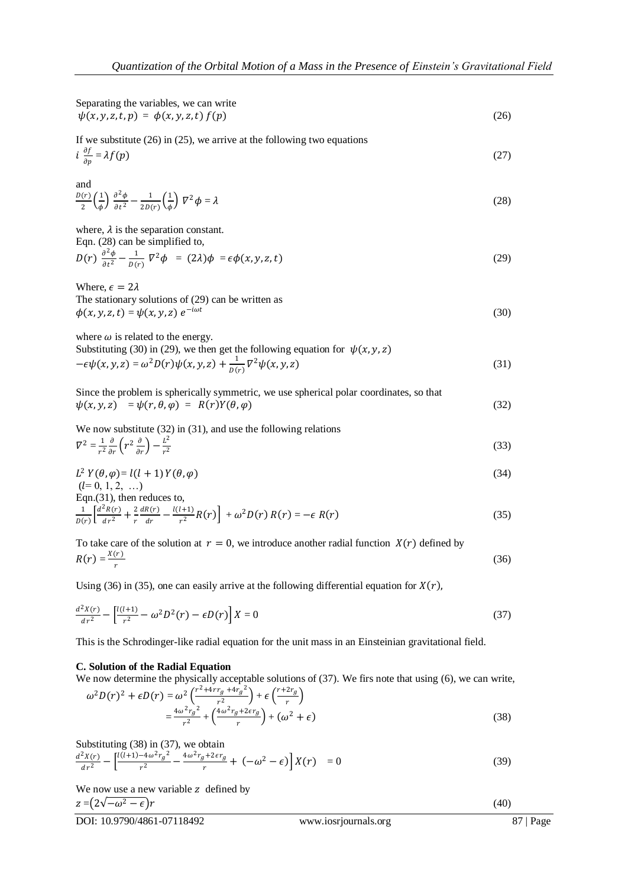Separating the variables, we can write  $\psi(x, y, z, t, p) = \phi(x, y, z, t) f(p)$  (26)

If we substitute (26) in (25), we arrive at the following two equations  $i \frac{\partial f}{\partial x}$  $\partial p$  $= \lambda f(p)$  (27)

and  
\n
$$
\frac{D(r)}{2} \left(\frac{1}{\phi}\right) \frac{\partial^2 \phi}{\partial t^2} - \frac{1}{2D(r)} \left(\frac{1}{\phi}\right) \nabla^2 \phi = \lambda
$$
\n(28)

where,  $\lambda$  is the separation constant. Eqn. (28) can be simplified to,

$$
D(r)\frac{\partial^2 \phi}{\partial t^2} - \frac{1}{D(r)}\nabla^2 \phi = (2\lambda)\phi = \epsilon \phi(x, y, z, t)
$$
\n(29)

Where,  $\epsilon = 2\lambda$ The stationary solutions of (29) can be written as  $\phi(x, y, z, t) = \psi(x, y, z) e^{-i\omega t}$ (30)

where  $\omega$  is related to the energy.

Substituting (30) in (29), we then get the following equation for  $\psi(x, y, z)$  $-\epsilon\psi(x, y, z) = \omega^2 D(r)\psi(x, y, z) + \frac{1}{R(r)}$  $\frac{1}{D(r)} \nabla^2 \psi(x, y, z)$  (31)

| Since the problem is spherically symmetric, we use spherical polar coordinates, so that |      |
|-----------------------------------------------------------------------------------------|------|
| $\psi(x, y, z) = \psi(r, \theta, \varphi) = R(r)Y(\theta, \varphi)$                     | (32) |

We now substitute (32) in (31), and use the following relations  
\n
$$
\nabla^2 = \frac{1}{r^2} \frac{\partial}{\partial r} \left( r^2 \frac{\partial}{\partial r} \right) - \frac{L^2}{r^2}
$$
\n(33)

$$
L^2 Y(\theta, \varphi) = l(l+1) Y(\theta, \varphi)
$$
  
(l= 0, 1, 2, ...) (34)

Eqn.(31), then reduces to

$$
\frac{1}{D(r)} \left[ \frac{d^2 R(r)}{dr^2} + \frac{2}{r} \frac{dR(r)}{dr} - \frac{l(l+1)}{r^2} R(r) \right] + \omega^2 D(r) R(r) = -\epsilon R(r) \tag{35}
$$

To take care of the solution at  $r = 0$ , we introduce another radial function  $X(r)$  defined by  $R(r) = \frac{X(r)}{r}$ r  $(36)$ 

Using (36) in (35), one can easily arrive at the following differential equation for  $X(r)$ ,

$$
\frac{d^2X(r)}{dr^2} - \left[\frac{l(l+1)}{r^2} - \omega^2 D^2(r) - \epsilon D(r)\right]X = 0\tag{37}
$$

This is the Schrodinger-like radial equation for the unit mass in an Einsteinian gravitational field.

## **C. Solution of the Radial Equation**

We now determine the physically acceptable solutions of (37). We firs note that using (6), we can write,  $\omega^2 D(r)^2 + \epsilon D(r) = \omega^2 \left( \frac{r^2 + 4rr_g + 4r_g^2}{r^2} \right)$  $\frac{r+2r_g}{r}$ 

$$
\omega^2 D(r)^2 + \epsilon D(r) = \omega^2 \left( \frac{r^2 + \omega^2 g + \omega^2 g}{r^2} \right) + \epsilon \left( \frac{r^2 + \omega^2 g}{r} \right)
$$
  
=  $\frac{4\omega^2 r_g^2}{r^2} + \left( \frac{4\omega^2 r_g + 2\epsilon r_g}{r} \right) + \left( \omega^2 + \epsilon \right)$  (38)

Substituting (38) in (37), we obtain  
\n
$$
\frac{d^2X(r)}{dr^2} - \left[ \frac{l(l+1) - 4\omega^2 r_g^2}{r^2} - \frac{4\omega^2 r_g + 2\epsilon r_g}{r} + \left( -\omega^2 - \epsilon \right) \right] X(r) = 0
$$
\n(39)

We now use a new variable  $z$  defined by  $z = (2\sqrt{-\omega^2 - \epsilon})r$  (40)

DOI: 10.9790/4861-07118492 www.iosrjournals.org 87 | Page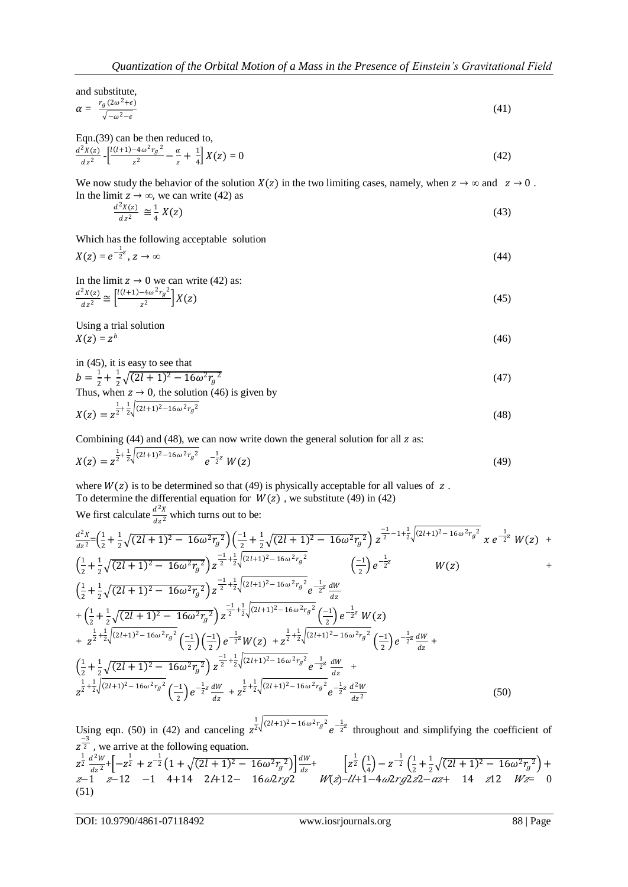and substitute,

$$
\alpha = \frac{r_g(2\omega^2 + \epsilon)}{\sqrt{-\omega^2 - \epsilon}} \tag{41}
$$

Eqn.(39) can be then reduced to,  $d^2X(z)$  $\frac{2\chi(z)}{dz^2}$  -  $\left[\frac{l(l+1)-4\omega^2r_g^2}{z^2}\right]$  $\frac{-4\omega^2 r_g^2}{z^2} - \frac{\alpha}{z}$  $\frac{\alpha}{z} + \frac{1}{4}$  $\frac{1}{4}\left[X(z)=0\right]$  (42)

We now study the behavior of the solution  $X(z)$  in the two limiting cases, namely, when  $z \to \infty$  and  $z \to 0$ . In the limit  $z \to \infty$ , we can write (42) as

$$
\frac{d^2X(z)}{dz^2} \cong \frac{1}{4}X(z) \tag{43}
$$

Which has the following acceptable solution  $X(z) = e^{-\frac{1}{2}z}$ 

$$
X(z) = e^{-z^2}, \ z \to \infty
$$
\nIn the limit  $z \to 0$  we can write (42) as:

In the limit 
$$
z \to 0
$$
 we can write (42) as:  
\n
$$
\frac{d^2X(z)}{dz^2} \cong \left[ \frac{l(l+1) - 4\omega^2 r_g^2}{z^2} \right] X(z)
$$
\n(45)

Using a trial solution  $X(z) = z^b$ (46)

in (45), it is easy to see that

$$
b = \frac{1}{2} + \frac{1}{2}\sqrt{(2l+1)^2 - 16\omega^2 r_g^2}
$$
  
Thus, when  $z \to 0$ , the solution (46) is given by

$$
X(z) = z^{\frac{1}{2} + \frac{1}{2}\sqrt{(2l+1)^2 - 16\omega^2 r_g^2}}
$$
\n(48)

Combining  $(44)$  and  $(48)$ , we can now write down the general solution for all  $z$  as:

$$
X(z) = z^{\frac{1}{2} + \frac{1}{2}\sqrt{(2l+1)^2 - 16\omega^2 r_g^2}} e^{-\frac{1}{2}z} W(z)
$$
\n(49)

where  $W(z)$  is to be determined so that (49) is physically acceptable for all values of  $z$ . To determine the differential equation for  $W(z)$ , we substitute (49) in (42) We first calculate  $\frac{d^2X}{dx^2}$  $\frac{u}{dz^2}$  which turns out to be:

$$
\frac{d^{2}x}{dz^{2}} = \left(\frac{1}{2} + \frac{1}{2}\sqrt{(2l+1)^{2} - 16\omega^{2}r_{g}^{2}}\right)\left(\frac{-1}{2} + \frac{1}{2}\sqrt{(2l+1)^{2} - 16\omega^{2}r_{g}^{2}}\right)z^{\frac{-1}{2} - 1 + \frac{1}{2}\sqrt{(2l+1)^{2} - 16\omega^{2}r_{g}^{2}}}
$$

$$
z^{\frac{-1}{2} + \frac{1}{2}\sqrt{(2l+1)^{2} - 16\omega^{2}r_{g}^{2}}\right)z^{\frac{-1}{2} + \frac{1}{2}\sqrt{(2l+1)^{2} - 16\omega^{2}r_{g}^{2}}}
$$

$$
\left(\frac{-1}{2}\right)e^{-\frac{1}{2}z}
$$

$$
W(z)
$$

$$
+\left(\frac{1}{2} + \frac{1}{2}\sqrt{(2l+1)^{2} - 16\omega^{2}r_{g}^{2}}\right)z^{\frac{-1}{2} + \frac{1}{2}\sqrt{(2l+1)^{2} - 16\omega^{2}r_{g}^{2}}}e^{-\frac{1}{2}z}\frac{dW}{dz}
$$

$$
+\left(\frac{1}{2} + \frac{1}{2}\sqrt{(2l+1)^{2} - 16\omega^{2}r_{g}^{2}}\right)z^{\frac{-1}{2} + \frac{1}{2}\sqrt{(2l+1)^{2} - 16\omega^{2}r_{g}^{2}}}e^{-\frac{1}{2}z}\frac{dW}{dz}
$$

$$
+z^{\frac{1}{2} + \frac{1}{2}\sqrt{(2l+1)^{2} - 16\omega^{2}r_{g}^{2}}}\left(\frac{-1}{2}\right)e^{-\frac{1}{2}z}W(z)
$$

$$
+z^{\frac{1}{2} + \frac{1}{2}\sqrt{(2l+1)^{2} - 16\omega^{2}r_{g}^{2}}}\left(\frac{-1}{2}\right)e^{-\frac{1}{2}z}W(z) +z^{\frac{1}{2} + \frac{1}{2}\sqrt{(2l+1)^{2} - 16\omega^{2}r_{g}^{2}}}e^{-\frac{1}{2}z}\frac{dW}{dz} +
$$

$$
\left(\frac{1}{2} + \frac{1}{2}\sqrt{(2l+1)^{2
$$

Using eqn. (50) in (42) and canceling  $z^{\frac{1}{2}\sqrt{(2l+1)^2-16\omega^2r_g^2}}e^{-\frac{1}{2}z}$  throughout and simplifying the coefficient of  $z^{\frac{-3}{2}}$ , we arrive at the following equation.  $Z^{\frac{1}{2}} \frac{d^2W}{dt^2}$  $\frac{d^2W}{dz^2}$  +  $\left[ -z^{\frac{1}{2}} + z^{-\frac{1}{2}} \left( 1 + \sqrt{(2l+1)^2 - 16\omega^2 r_g^2} \right) \right] \frac{dW}{dz}$  $\frac{dW}{dz}$  +  $\left[ z^{\frac{1}{2}} \left( \frac{1}{4} \right)$  $\left(\frac{1}{4}\right) - z^{-\frac{1}{2}} \left(\frac{1}{2}\right)$  $\frac{1}{2} + \frac{1}{2}$  $\frac{1}{2}\sqrt{(2l+1)^2-16\omega^2 r_g^2}$  + *z*−1 *z*−12 −1 4+14 2*l*+12− 16ω2*rg*2 *W(z)-ll*+1−4ω2*rg*2*z*2−*αz*+ 14 *z*12 *Wz*= 0

(51)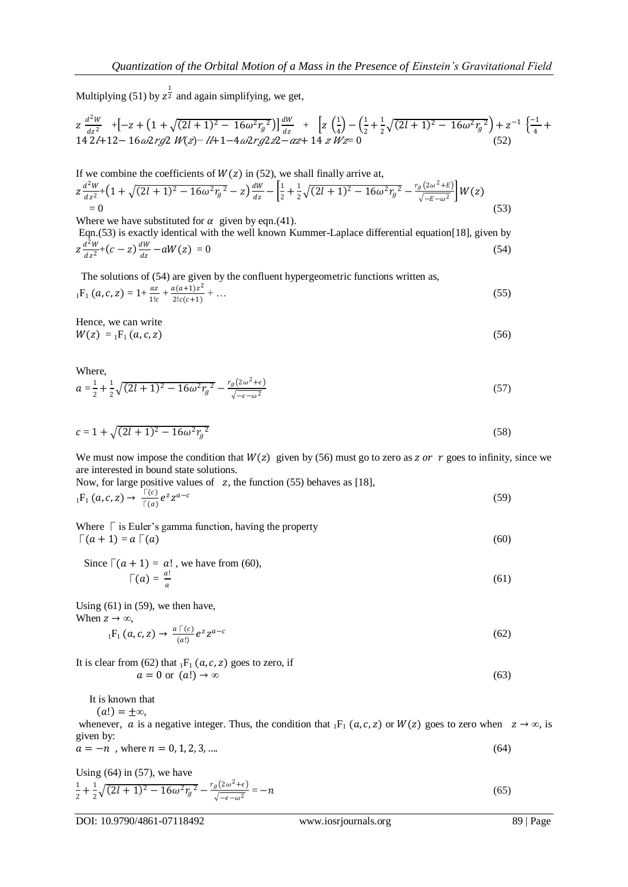Multiplying (51) by  $z^{\frac{1}{2}}$  and again simplifying, we get,

$$
z \frac{d^2 W}{dz^2} + \left[ -z + \left( 1 + \sqrt{(2l+1)^2 - 16\omega^2 r_g^2} \right) \right] \frac{dW}{dz} + \left[ z \left( \frac{1}{4} \right) - \left( \frac{1}{2} + \frac{1}{2} \sqrt{(2l+1)^2 - 16\omega^2 r_g^2} \right) + z^{-1} \left( \frac{-1}{4} + 14 \frac{2l+1}{2} - 16\omega^2 r_g^2 \right) \right]
$$
\n
$$
+ 14 \frac{dW}{dz} + \left[ 12 \left( \frac{1}{4} \right) - \left( \frac{1}{4} + \frac{1}{2} \sqrt{(2l+1)^2 - 16\omega^2 r_g^2} \right) + z^{-1} \left( \frac{-1}{4} + \frac{1}{2} \sqrt{(2l+1)^2 - 16\omega^2 r_g^2} \right) \right]
$$
\n
$$
+ 14 \frac{dW}{dz} + \left[ 12 \left( \frac{1}{4} \right) - \left( \frac{1}{4} + \frac{1}{2} \sqrt{(2l+1)^2 - 16\omega^2 r_g^2} \right) \right] \tag{52}
$$

If we combine the coefficients of  $W(z)$  in (52), we shall finally arrive at,

$$
z\frac{d^2W}{dz^2} + \left(1 + \sqrt{(2l+1)^2 - 16\omega^2 r_g^2} - z\right)\frac{dw}{dz} - \left[\frac{1}{2} + \frac{1}{2}\sqrt{(2l+1)^2 - 16\omega^2 r_g^2} - \frac{r_g(2\omega^2 + E)}{\sqrt{-E - \omega^2}}\right]W(z)
$$
\n
$$
= 0
$$
\n(53)

Where we have substituted for  $\alpha$  given by eqn.(41). Eqn.(53) is exactly identical with the well known Kummer-Laplace differential equation[18], given by  $Z \frac{d^2W}{dr^2}$  $\frac{d^2W}{dz^2} + (c - z)\frac{dW}{dz}$  $\frac{dw}{dz} - aW(z) = 0$  (54)

 The solutions of (54) are given by the confluent hypergeometric functions written as,  ${}_{1}F_{1}(a, c, z) = 1 + \frac{az}{1!c} + \frac{a(a+1)z^{2}}{2!c(c+1)}$  $\frac{2!c(c+1)}{2!c(c+1)} + \dots$  (55)

Hence, we can write  $W(z) = {}_1F_1(a, c, z)$  (56)

Where,

$$
a = \frac{1}{2} + \frac{1}{2}\sqrt{(2l+1)^2 - 16\omega^2 r_g^2} - \frac{r_g(2\omega^2 + \epsilon)}{\sqrt{-\epsilon - \omega^2}}
$$
(57)

$$
c = 1 + \sqrt{(2l+1)^2 - 16\omega^2 r_g^2} \tag{58}
$$

We must now impose the condition that  $W(z)$  given by (56) must go to zero as z or r goes to infinity, since we are interested in bound state solutions.

Now, for large positive values of z, the function (55) behaves as [18],  
\n
$$
{}_{1}F_{1}(a, c, z) \rightarrow \frac{\lceil c \rceil}{\lceil a \rceil} e^{z} z^{a-c}
$$
\n(59)

Where  $\Gamma$  is Euler's gamma function, having the property  $\lceil (a+1) = a \rceil$  (60)

Since  $\lceil (a + 1) = a!$ , we have from (60),  $\Gamma(a) = \frac{a!}{a!}$  $\frac{a}{a}$  (61)

Using  $(61)$  in  $(59)$ , we then have, When  $z \to \infty$ ,

$$
{}_{1}F_{1}(a,c,z) \rightarrow \frac{a\upharpoonright (c)}{(a!)}e^{z}z^{a-c}
$$
\n
$$
(62)
$$

It is clear from (62) that 
$$
{}_{1}F_{1}(a, c, z)
$$
 goes to zero, if  
\n $a = 0$  or  $(a!) \rightarrow \infty$  (63)

It is known that

 $(a!) = \pm \infty$ ,

whenever, a is a negative integer. Thus, the condition that  $_1F_1$  (a, c, z) or  $W(z)$  goes to zero when  $z \to \infty$ , is given by:

$$
a = -n, \text{ where } n = 0, 1, 2, 3, \dots \tag{64}
$$

Using  $(64)$  in  $(57)$ , we have

$$
\frac{1}{2} + \frac{1}{2}\sqrt{(2l+1)^2 - 16\omega^2 r_g^2} - \frac{r_g(2\omega^2 + \epsilon)}{\sqrt{-\epsilon - \omega^2}} = -n
$$
\n(65)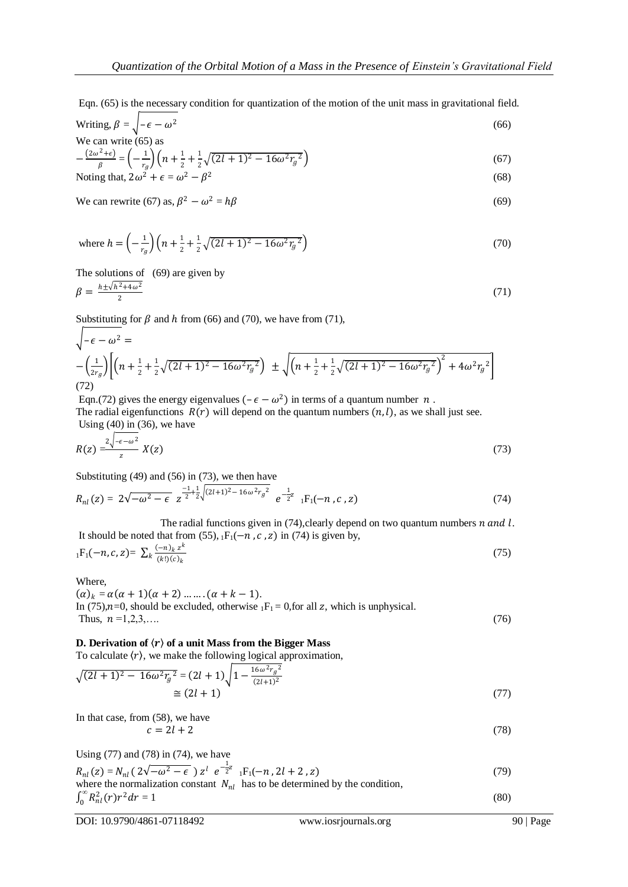Eqn. (65) is the necessary condition for quantization of the motion of the unit mass in gravitational field.

Writing, 
$$
\beta = \sqrt{-\epsilon - \omega^2}
$$
 (66)  
We can write (65) as

$$
-\frac{(2\omega^2 + \epsilon)}{\beta} = \left(-\frac{1}{r_g}\right)\left(n + \frac{1}{2} + \frac{1}{2}\sqrt{(2l+1)^2 - 16\omega^2 r_g^2}\right)
$$
(67)

Noting that, 
$$
2\omega^2 + \epsilon = \omega^2 - \beta^2
$$
 (68)

We can rewrite (67) as, 
$$
\beta^2 - \omega^2 = h\beta
$$
 (69)

where 
$$
h = \left(-\frac{1}{r_g}\right)\left(n + \frac{1}{2} + \frac{1}{2}\sqrt{(2l+1)^2 - 16\omega^2 r_g^2}\right)
$$
 (70)

The solutions of (69) are given by

$$
\beta = \frac{h \pm \sqrt{h^2 + 4\omega^2}}{2} \tag{71}
$$

Substituting for  $\beta$  and  $h$  from (66) and (70), we have from (71),

$$
\sqrt{-\epsilon - \omega^2} =
$$
\n
$$
-\left(\frac{1}{2r_g}\right) \left[ \left(n + \frac{1}{2} + \frac{1}{2}\sqrt{(2l+1)^2 - 16\omega^2 r_g^2}\right) \pm \sqrt{\left(n + \frac{1}{2} + \frac{1}{2}\sqrt{(2l+1)^2 - 16\omega^2 r_g^2}\right)^2 + 4\omega^2 r_g^2} \right]
$$
\n(72)

Eqn.(72) gives the energy eigenvalues  $(-\epsilon - \omega^2)$  in terms of a quantum number n.

The radial eigenfunctions  $R(r)$  will depend on the quantum numbers  $(n, l)$ , as we shall just see. Using (40) in (36), we have

$$
R(z) = \frac{2\sqrt{-\epsilon - \omega^2}}{z} X(z)
$$
\n<sup>(73)</sup>

Substituting (49) and (56) in (73), we then have

$$
R_{nl}(z) = 2\sqrt{-\omega^2 - \epsilon} z^{\frac{-1}{2} + \frac{1}{2}\sqrt{(2l+1)^2 - 16\omega^2 r_g^2}} e^{-\frac{1}{2}z} {}_{1}F_1(-n, c, z)
$$
\n(74)

The radial functions given in  $(74)$ , clearly depend on two quantum numbers  $n$  and  $l$ . It should be noted that from (55),  $_1F_1(-n, c, z)$  in (74) is given by,

$$
{}_{1}F_{1}(-n, c, z) = \sum_{k} \frac{(-n)_{k} z^{k}}{(k!) (c)_{k}}
$$
\n
$$
(75)
$$

Where,

 $(\alpha)_k = \alpha(\alpha + 1)(\alpha + 2) \dots \dots (\alpha + k - 1).$ In (75), $n=0$ , should be excluded, otherwise  $_1F_1 = 0$ , for all z, which is unphysical. Thus,  $n=1,2,3,...$  (76)

## **D. Derivation of**  $\langle r \rangle$  **of a unit Mass from the Bigger Mass**

To calculate  $\langle r \rangle$ , we make the following logical approximation,

$$
\sqrt{(2l+1)^2 - 16\omega^2 r_g^2} = (2l+1)\sqrt{1 - \frac{16\omega^2 r_g^2}{(2l+1)^2}}
$$
  
\n
$$
\approx (2l+1)
$$
\n(77)

In that case, from (58), we have  

$$
c = 2l + 2
$$
 (78)

Using (77) and (78) in (74), we have 1

$$
R_{nl}(z) = N_{nl}(2\sqrt{-\omega^2 - \epsilon}) z^l e^{-\frac{1}{2}z} {}_{1}F_1(-n, 2l + 2, z)
$$
  
where the normalization constant  $N_{nl}$  has to be determined by the condition

where the normalization constant 
$$
N_{nl}
$$
 has to be determined by the condition,  

$$
\int_0^\infty R_{nl}^2(r)r^2 dr = 1
$$
 (80)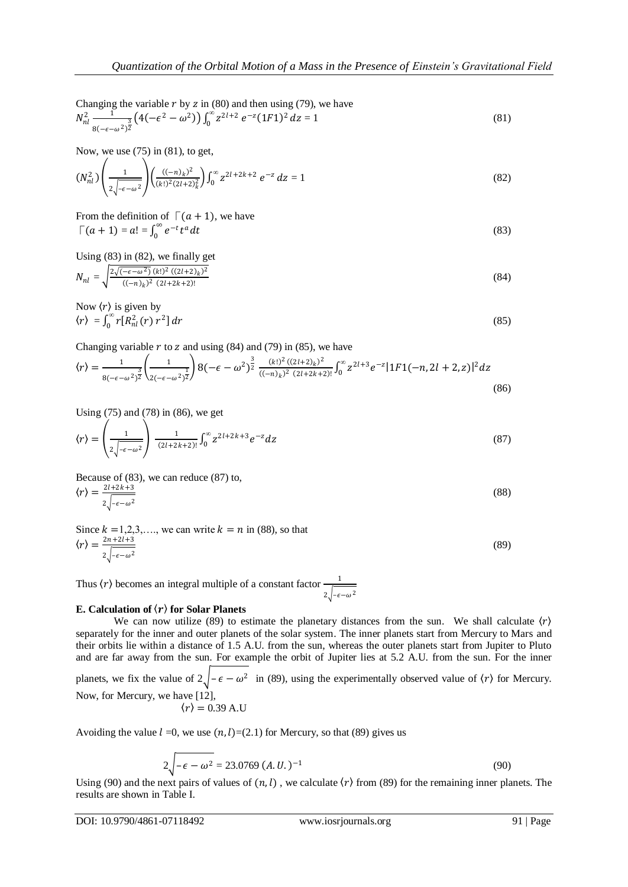Changing the variable  $r$  by  $z$  in (80) and then using (79), we have

$$
N_{nl}^2 \frac{1}{8(-\epsilon - \omega^2)^2} \left(4(-\epsilon^2 - \omega^2)\right) \int_0^\infty z^{2l+2} \ e^{-z} (1F1)^2 \ dz = 1 \tag{81}
$$

Now, we use  $(75)$  in (81), to get,

$$
(N_{nl}^2) \left( \frac{1}{2 \sqrt{-\epsilon - \omega^2}} \right) \left( \frac{((-n)_k)^2}{(k!)^2 (2l+2)_k^2} \right) \int_0^\infty z^{2l+2k+2} e^{-z} dz = 1 \tag{82}
$$

From the definition of  $\lceil (a + 1) \rceil$ , we have  $\int (a+1) = a! = \int_0^\infty e^{-t} t^a dt$  $\int_{0}^{\infty} e^{-t} t^a dt$  (83)

Using (83) in (82), we finally get

$$
N_{nl} = \sqrt{\frac{2\sqrt{(-\epsilon - \omega^2)} (k!)^2 (2l+2k)^2}{((-n)_k)^2 (2l+2k+2)!}} \tag{84}
$$

Now 
$$
\langle r \rangle
$$
 is given by  
\n $\langle r \rangle = \int_0^\infty r[R_{nl}^2(r) r^2] dr$  (85)

Changing variable  $r$  to  $z$  and using (84) and (79) in (85), we have

$$
\langle r \rangle = \frac{1}{8(-\epsilon - \omega^2)^2} \left( \frac{1}{2(-\epsilon - \omega^2)^2} \right) 8(-\epsilon - \omega^2)^{\frac{3}{2}} \frac{(k!)^2 (2l+2)k^2}{((-n)_k)^2 (2l+2k+2)!} \int_0^\infty z^{2l+3} e^{-z} |1F1(-n, 2l+2, z)|^2 dz \tag{86}
$$

Using  $(75)$  and  $(78)$  in (86), we get

$$
\langle r \rangle = \left( \frac{1}{2 \sqrt{-\epsilon - \omega^2}} \right) \frac{1}{(2l + 2k + 2)!} \int_0^\infty z^{2l + 2k + 3} e^{-z} dz \tag{87}
$$

Because of (83), we can reduce (87) to,  $\langle r \rangle = \frac{2l+2k+3}{r}$  $2\sqrt{-\epsilon-\omega^2}$ (88)

Since 
$$
k = 1, 2, 3, \dots
$$
, we can write  $k = n$  in (88), so that  
\n
$$
\langle r \rangle = \frac{2n + 2l + 3}{2 \sqrt{1 - \epsilon_0} \sqrt{2}}
$$
\n(89)

Thus  $\langle r \rangle$  becomes an integral multiple of a constant factor  $\frac{1}{\sqrt{2}}$  $2\sqrt{-\epsilon-\omega^2}$ 

#### **E. Calculation of**  $\langle r \rangle$  **for Solar Planets**

We can now utilize (89) to estimate the planetary distances from the sun. We shall calculate  $\langle r \rangle$ separately for the inner and outer planets of the solar system. The inner planets start from Mercury to Mars and their orbits lie within a distance of 1.5 A.U. from the sun, whereas the outer planets start from Jupiter to Pluto and are far away from the sun. For example the orbit of Jupiter lies at 5.2 A.U. from the sun. For the inner planets, we fix the value of  $2\sqrt{-\epsilon - \omega^2}$  in (89), using the experimentally observed value of  $\langle r \rangle$  for Mercury. Now, for Mercury, we have [12],  $\langle r \rangle = 0.39$  A.U

Avoiding the value  $l = 0$ , we use  $(n, l) = (2.1)$  for Mercury, so that (89) gives us

$$
2\sqrt{-\epsilon - \omega^2} = 23.0769 (A.U.)^{-1}
$$
\n(90)

Using (90) and the next pairs of values of  $(n, l)$ , we calculate  $\langle r \rangle$  from (89) for the remaining inner planets. The results are shown in Table I.